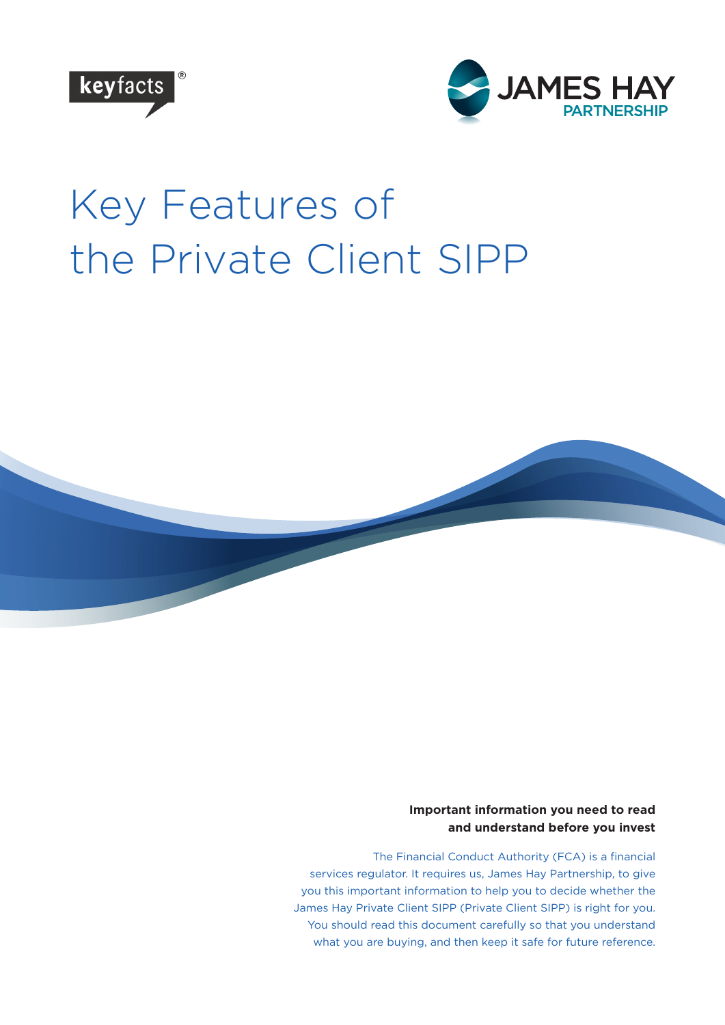



# Key Features of the Private Client SIPP



#### **Important information you need to read and understand before you invest**

The Financial Conduct Authority (FCA) is a financial services regulator. It requires us, James Hay Partnership, to give you this important information to help you to decide whether the James Hay Private Client SIPP (Private Client SIPP) is right for you. You should read this document carefully so that you understand what you are buying, and then keep it safe for future reference.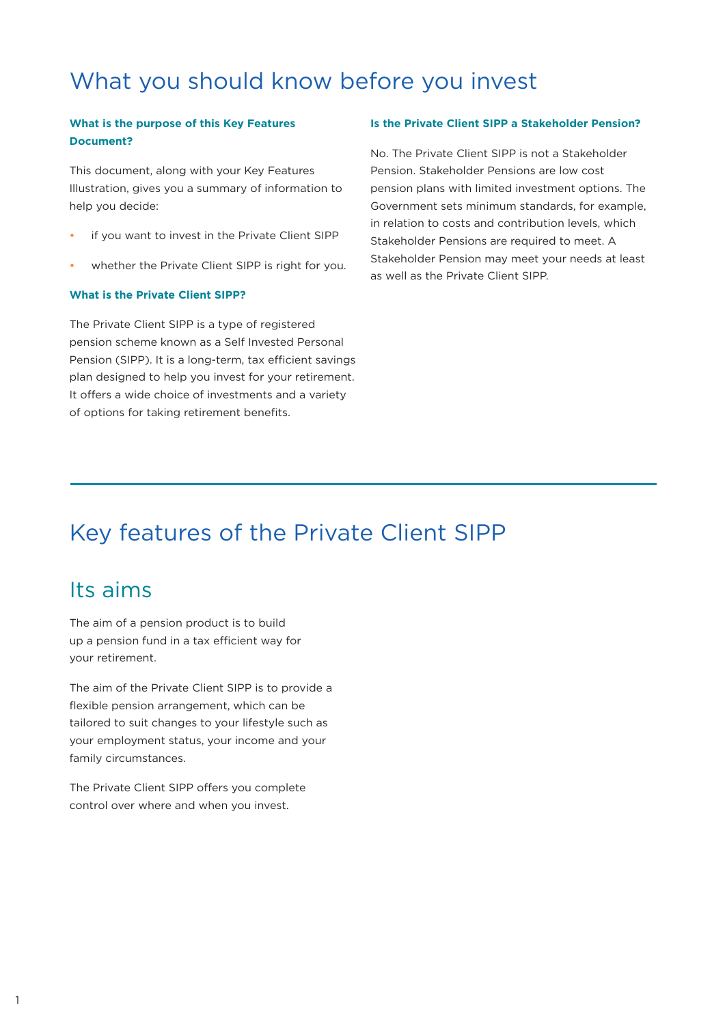# What you should know before you invest

#### **What is the purpose of this Key Features Document?**

This document, along with your Key Features Illustration, gives you a summary of information to help you decide:

- if you want to invest in the Private Client SIPP
- whether the Private Client SIPP is right for you.

#### **What is the Private Client SIPP?**

The Private Client SIPP is a type of registered pension scheme known as a Self Invested Personal Pension (SIPP). It is a long-term, tax efficient savings plan designed to help you invest for your retirement. It offers a wide choice of investments and a variety of options for taking retirement benefits.

#### **Is the Private Client SIPP a Stakeholder Pension?**

No. The Private Client SIPP is not a Stakeholder Pension. Stakeholder Pensions are low cost pension plans with limited investment options. The Government sets minimum standards, for example, in relation to costs and contribution levels, which Stakeholder Pensions are required to meet. A Stakeholder Pension may meet your needs at least as well as the Private Client SIPP.

## Key features of the Private Client SIPP

### Its aims

The aim of a pension product is to build up a pension fund in a tax efficient way for your retirement.

The aim of the Private Client SIPP is to provide a flexible pension arrangement, which can be tailored to suit changes to your lifestyle such as your employment status, your income and your family circumstances.

The Private Client SIPP offers you complete control over where and when you invest.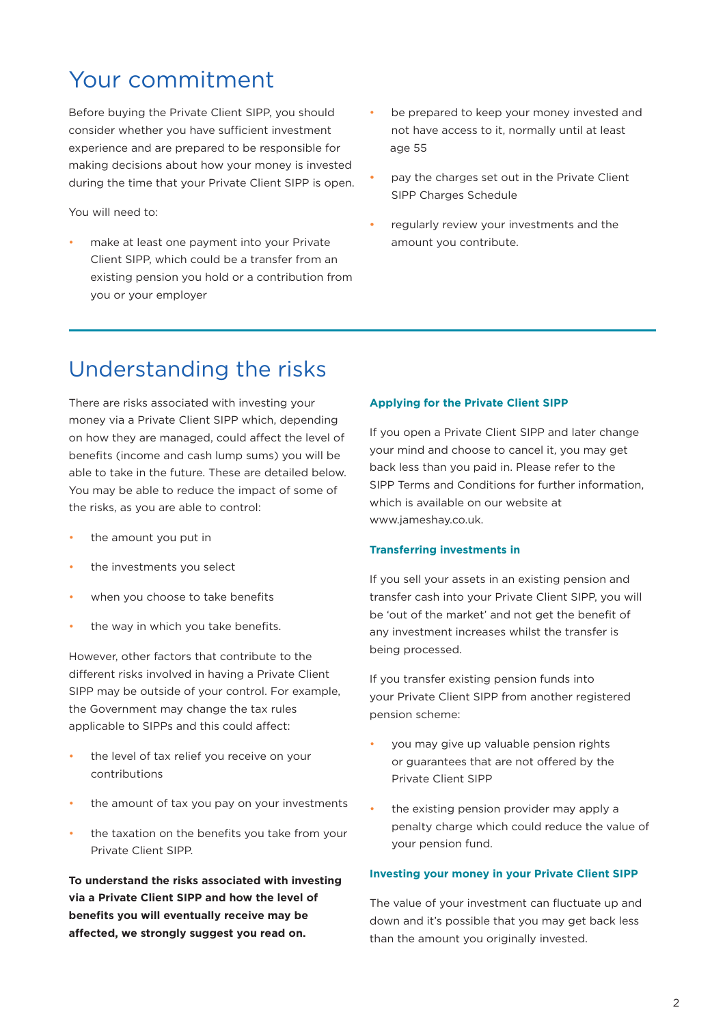### Your commitment

Before buying the Private Client SIPP, you should consider whether you have sufficient investment experience and are prepared to be responsible for making decisions about how your money is invested during the time that your Private Client SIPP is open.

You will need to:

- make at least one payment into your Private Client SIPP, which could be a transfer from an existing pension you hold or a contribution from you or your employer
- be prepared to keep your money invested and not have access to it, normally until at least age 55
- pay the charges set out in the Private Client SIPP Charges Schedule
- regularly review your investments and the amount you contribute.

### Understanding the risks

There are risks associated with investing your money via a Private Client SIPP which, depending on how they are managed, could affect the level of benefits (income and cash lump sums) you will be able to take in the future. These are detailed below. You may be able to reduce the impact of some of the risks, as you are able to control:

- the amount you put in
- the investments you select
- when you choose to take benefits
- the way in which you take benefits.

However, other factors that contribute to the different risks involved in having a Private Client SIPP may be outside of your control. For example, the Government may change the tax rules applicable to SIPPs and this could affect:

- the level of tax relief you receive on your contributions
- the amount of tax you pay on your investments
- the taxation on the benefits you take from your Private Client SIPP.

**To understand the risks associated with investing via a Private Client SIPP and how the level of benefits you will eventually receive may be affected, we strongly suggest you read on.**

#### **Applying for the Private Client SIPP**

If you open a Private Client SIPP and later change your mind and choose to cancel it, you may get back less than you paid in. Please refer to the SIPP Terms and Conditions for further information, which is available on our website at www.jameshay.co.uk.

#### **Transferring investments in**

If you sell your assets in an existing pension and transfer cash into your Private Client SIPP, you will be 'out of the market' and not get the benefit of any investment increases whilst the transfer is being processed.

If you transfer existing pension funds into your Private Client SIPP from another registered pension scheme:

- you may give up valuable pension rights or guarantees that are not offered by the Private Client SIPP
- the existing pension provider may apply a penalty charge which could reduce the value of your pension fund.

#### **Investing your money in your Private Client SIPP**

The value of your investment can fluctuate up and down and it's possible that you may get back less than the amount you originally invested.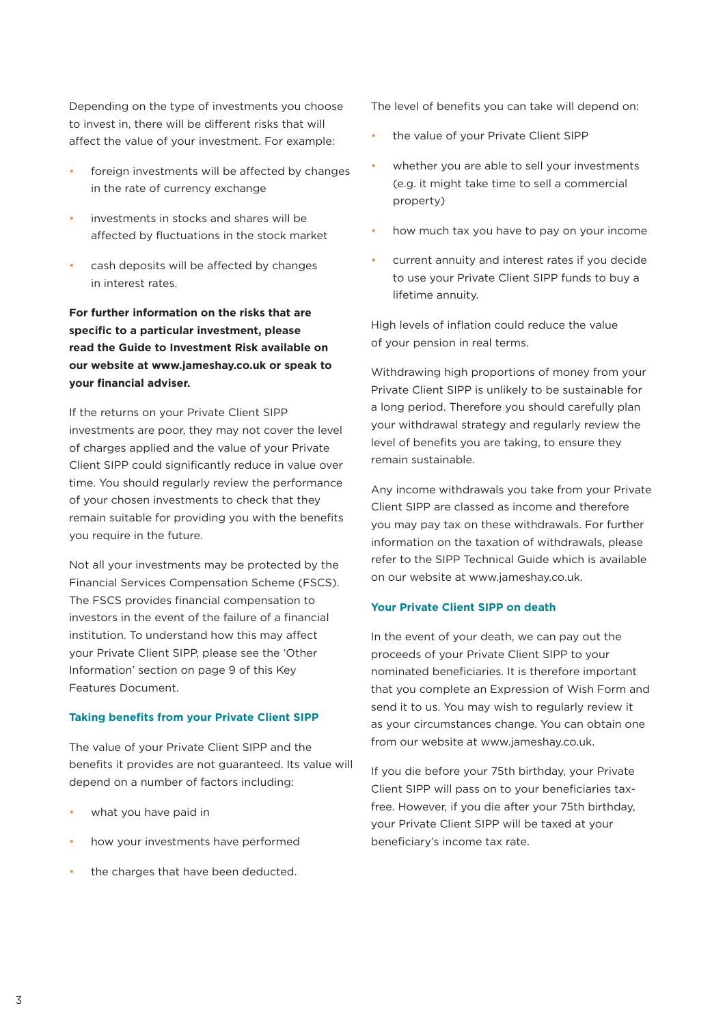Depending on the type of investments you choose to invest in, there will be different risks that will affect the value of your investment. For example:

- foreign investments will be affected by changes in the rate of currency exchange
- investments in stocks and shares will be affected by fluctuations in the stock market
- cash deposits will be affected by changes in interest rates.

**For further information on the risks that are specific to a particular investment, please read the Guide to Investment Risk available on our website at www.jameshay.co.uk or speak to your financial adviser.**

If the returns on your Private Client SIPP investments are poor, they may not cover the level of charges applied and the value of your Private Client SIPP could significantly reduce in value over time. You should regularly review the performance of your chosen investments to check that they remain suitable for providing you with the benefits you require in the future.

Not all your investments may be protected by the Financial Services Compensation Scheme (FSCS). The FSCS provides financial compensation to investors in the event of the failure of a financial institution. To understand how this may affect your Private Client SIPP, please see the 'Other Information' section on page 9 of this Key Features Document.

#### **Taking benefits from your Private Client SIPP**

The value of your Private Client SIPP and the benefits it provides are not guaranteed. Its value will depend on a number of factors including:

- what you have paid in
- how your investments have performed
- the charges that have been deducted.

The level of benefits you can take will depend on:

- the value of your Private Client SIPP
- whether you are able to sell your investments (e.g. it might take time to sell a commercial property)
- how much tax you have to pay on your income
- current annuity and interest rates if you decide to use your Private Client SIPP funds to buy a lifetime annuity.

High levels of inflation could reduce the value of your pension in real terms.

Withdrawing high proportions of money from your Private Client SIPP is unlikely to be sustainable for a long period. Therefore you should carefully plan your withdrawal strategy and regularly review the level of benefits you are taking, to ensure they remain sustainable.

Any income withdrawals you take from your Private Client SIPP are classed as income and therefore you may pay tax on these withdrawals. For further information on the taxation of withdrawals, please refer to the SIPP Technical Guide which is available on our website at www.jameshay.co.uk.

#### **Your Private Client SIPP on death**

In the event of your death, we can pay out the proceeds of your Private Client SIPP to your nominated beneficiaries. It is therefore important that you complete an Expression of Wish Form and send it to us. You may wish to regularly review it as your circumstances change. You can obtain one from our website at www.jameshay.co.uk.

If you die before your 75th birthday, your Private Client SIPP will pass on to your beneficiaries taxfree. However, if you die after your 75th birthday, your Private Client SIPP will be taxed at your beneficiary's income tax rate.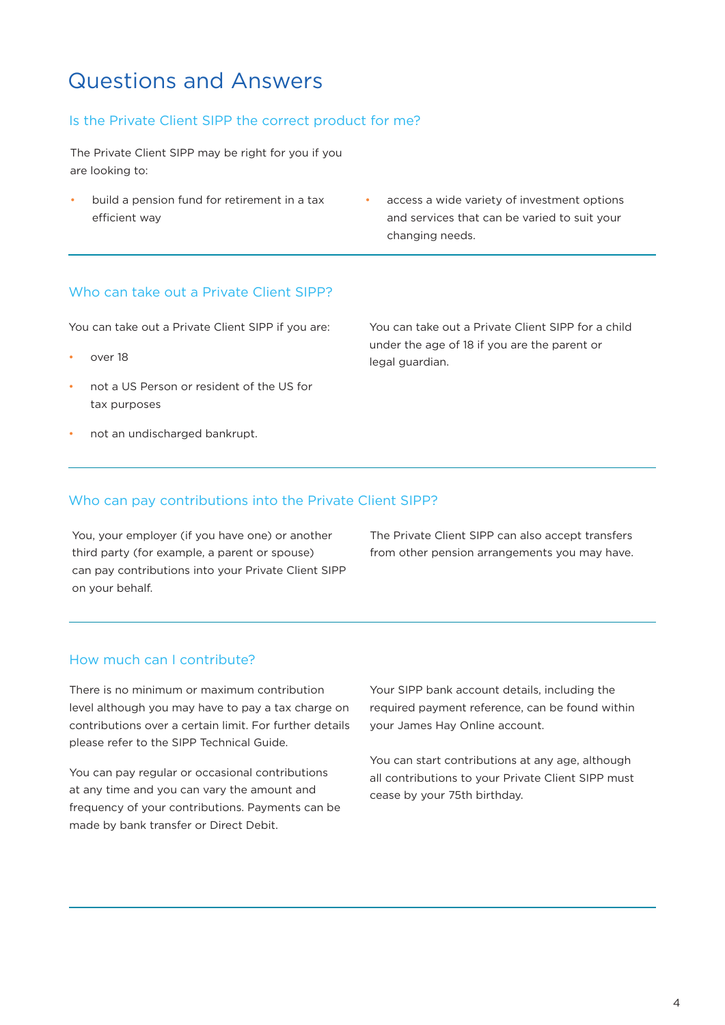### Questions and Answers

#### Is the Private Client SIPP the correct product for me?

The Private Client SIPP may be right for you if you are looking to:

- build a pension fund for retirement in a tax efficient way
- access a wide variety of investment options and services that can be varied to suit your changing needs.

#### Who can take out a Private Client SIPP?

You can take out a Private Client SIPP if you are:

- over 18
- not a US Person or resident of the US for tax purposes
- not an undischarged bankrupt.

You can take out a Private Client SIPP for a child under the age of 18 if you are the parent or legal guardian.

#### Who can pay contributions into the Private Client SIPP?

You, your employer (if you have one) or another third party (for example, a parent or spouse) can pay contributions into your Private Client SIPP on your behalf.

The Private Client SIPP can also accept transfers from other pension arrangements you may have.

#### How much can I contribute?

There is no minimum or maximum contribution level although you may have to pay a tax charge on contributions over a certain limit. For further details please refer to the SIPP Technical Guide.

You can pay regular or occasional contributions at any time and you can vary the amount and frequency of your contributions. Payments can be made by bank transfer or Direct Debit.

Your SIPP bank account details, including the required payment reference, can be found within your James Hay Online account.

You can start contributions at any age, although all contributions to your Private Client SIPP must cease by your 75th birthday.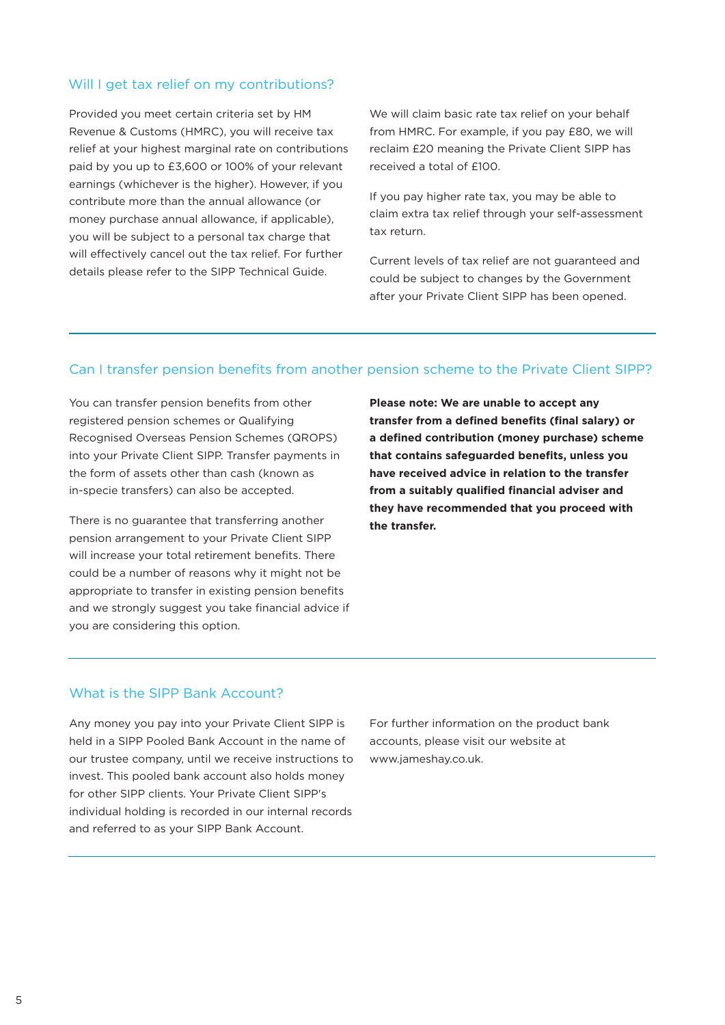#### Will I get tax relief on my contributions?

Provided you meet certain criteria set by HM Revenue & Customs (HMRC), you will receive tax relief at your highest marginal rate on contributions paid by you up to £3,600 or 100% of your relevant earnings (whichever is the higher). However, if you contribute more than the annual allowance (or money purchase annual allowance, if applicable), you will be subject to a personal tax charge that will effectively cancel out the tax relief. For further details please refer to the SIPP Technical Guide.

We will claim basic rate tax relief on your behalf from HMRC. For example, if you pay £80, we will reclaim £20 meaning the Private Client SIPP has received a total of £100.

If you pay higher rate tax, you may be able to claim extra tax relief through your self-assessment tax return.

Current levels of tax relief are not guaranteed and could be subject to changes by the Government after your Private Client SIPP has been opened.

#### Can I transfer pension benefits from another pension scheme to the Private Client SIPP?

You can transfer pension benefits from other registered pension schemes or Qualifying Recognised Overseas Pension Schemes (QROPS) into your Private Client SIPP. Transfer payments in the form of assets other than cash (known as in-specie transfers) can also be accepted.

There is no guarantee that transferring another pension arrangement to your Private Client SIPP will increase your total retirement benefits. There could be a number of reasons why it might not be appropriate to transfer in existing pension benefits and we strongly suggest you take financial advice if you are considering this option.

**Please note: We are unable to accept any transfer from a defined benefits (final salary) or a defined contribution (money purchase) scheme that contains safeguarded benefits, unless you have received advice in relation to the transfer from a suitably qualified financial adviser and they have recommended that you proceed with the transfer.**

#### What is the SIPP Bank Account?

Any money you pay into your Private Client SIPP is held in a SIPP Pooled Bank Account in the name of our trustee company, until we receive instructions to invest. This pooled bank account also holds money for other SIPP clients. Your Private Client SIPP's individual holding is recorded in our internal records and referred to as your SIPP Bank Account.

For further information on the product bank accounts, please visit our website at www.jameshay.co.uk.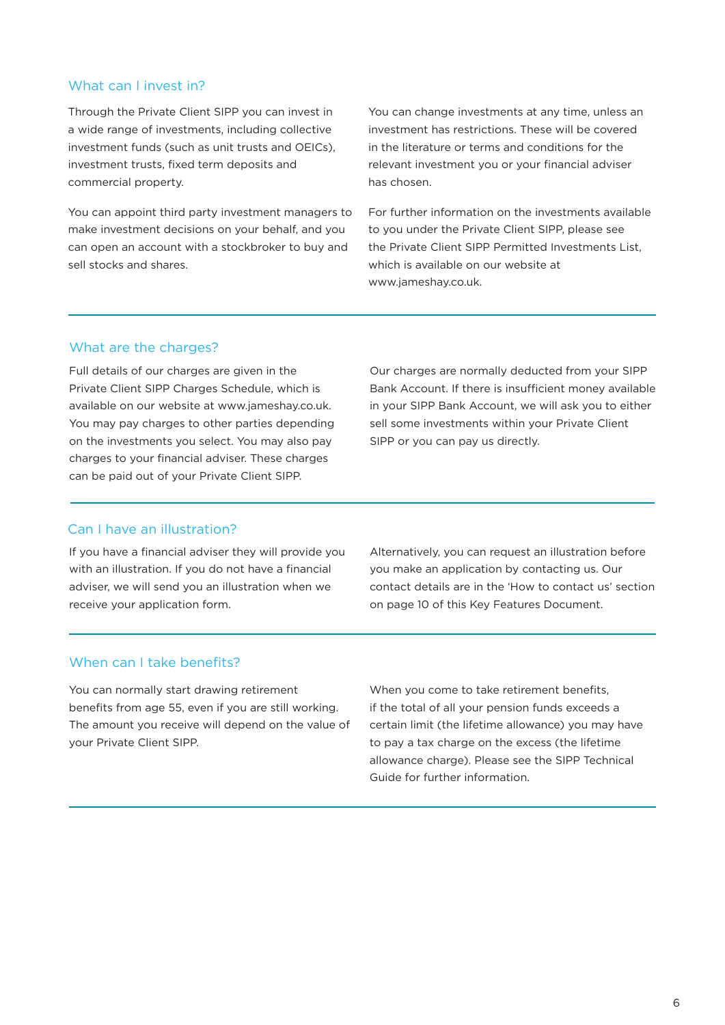#### What can I invest in?

Through the Private Client SIPP you can invest in a wide range of investments, including collective investment funds (such as unit trusts and OEICs), investment trusts, fixed term deposits and commercial property.

You can appoint third party investment managers to make investment decisions on your behalf, and you can open an account with a stockbroker to buy and sell stocks and shares.

You can change investments at any time, unless an investment has restrictions. These will be covered in the literature or terms and conditions for the relevant investment you or your financial adviser has chosen.

For further information on the investments available to you under the Private Client SIPP, please see the Private Client SIPP Permitted Investments List, which is available on our website at www.jameshay.co.uk.

#### What are the charges?

Full details of our charges are given in the Private Client SIPP Charges Schedule, which is available on our website at www.jameshay.co.uk. You may pay charges to other parties depending on the investments you select. You may also pay charges to your financial adviser. These charges can be paid out of your Private Client SIPP.

Our charges are normally deducted from your SIPP Bank Account. If there is insufficient money available in your SIPP Bank Account, we will ask you to either sell some investments within your Private Client SIPP or you can pay us directly.

#### Can I have an illustration?

If you have a financial adviser they will provide you with an illustration. If you do not have a financial adviser, we will send you an illustration when we receive your application form.

Alternatively, you can request an illustration before you make an application by contacting us. Our contact details are in the 'How to contact us' section on page 10 of this Key Features Document.

#### When can I take benefits?

You can normally start drawing retirement benefits from age 55, even if you are still working. The amount you receive will depend on the value of your Private Client SIPP.

When you come to take retirement benefits, if the total of all your pension funds exceeds a certain limit (the lifetime allowance) you may have to pay a tax charge on the excess (the lifetime allowance charge). Please see the SIPP Technical Guide for further information.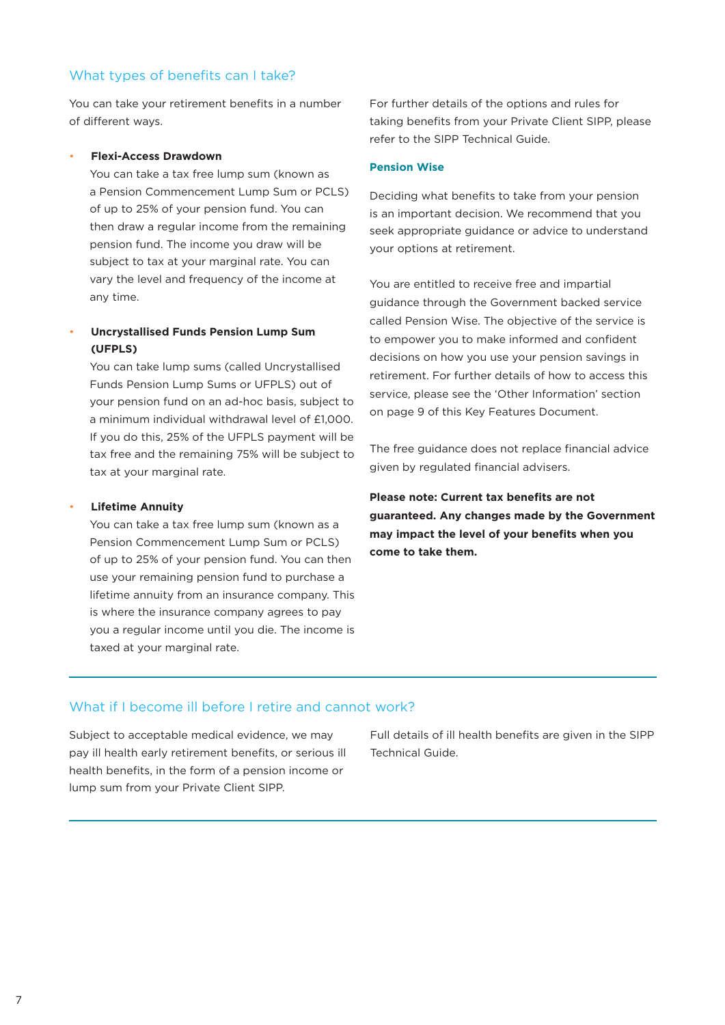#### What types of benefits can I take?

You can take your retirement benefits in a number of different ways.

#### • **Flexi-Access Drawdown**

You can take a tax free lump sum (known as a Pension Commencement Lump Sum or PCLS) of up to 25% of your pension fund. You can then draw a regular income from the remaining pension fund. The income you draw will be subject to tax at your marginal rate. You can vary the level and frequency of the income at any time.

#### • **Uncrystallised Funds Pension Lump Sum (UFPLS)**

You can take lump sums (called Uncrystallised Funds Pension Lump Sums or UFPLS) out of your pension fund on an ad-hoc basis, subject to a minimum individual withdrawal level of £1,000. If you do this, 25% of the UFPLS payment will be tax free and the remaining 75% will be subject to tax at your marginal rate.

#### • **Lifetime Annuity**

You can take a tax free lump sum (known as a Pension Commencement Lump Sum or PCLS) of up to 25% of your pension fund. You can then use your remaining pension fund to purchase a lifetime annuity from an insurance company. This is where the insurance company agrees to pay you a regular income until you die. The income is taxed at your marginal rate.

For further details of the options and rules for taking benefits from your Private Client SIPP, please refer to the SIPP Technical Guide.

#### **Pension Wise**

Deciding what benefits to take from your pension is an important decision. We recommend that you seek appropriate guidance or advice to understand your options at retirement.

You are entitled to receive free and impartial guidance through the Government backed service called Pension Wise. The objective of the service is to empower you to make informed and confident decisions on how you use your pension savings in retirement. For further details of how to access this service, please see the 'Other Information' section on page 9 of this Key Features Document.

The free guidance does not replace financial advice given by regulated financial advisers.

**Please note: Current tax benefits are not guaranteed. Any changes made by the Government may impact the level of your benefits when you come to take them.**

#### What if I become ill before I retire and cannot work?

Subject to acceptable medical evidence, we may pay ill health early retirement benefits, or serious ill health benefits, in the form of a pension income or lump sum from your Private Client SIPP.

Full details of ill health benefits are given in the SIPP Technical Guide.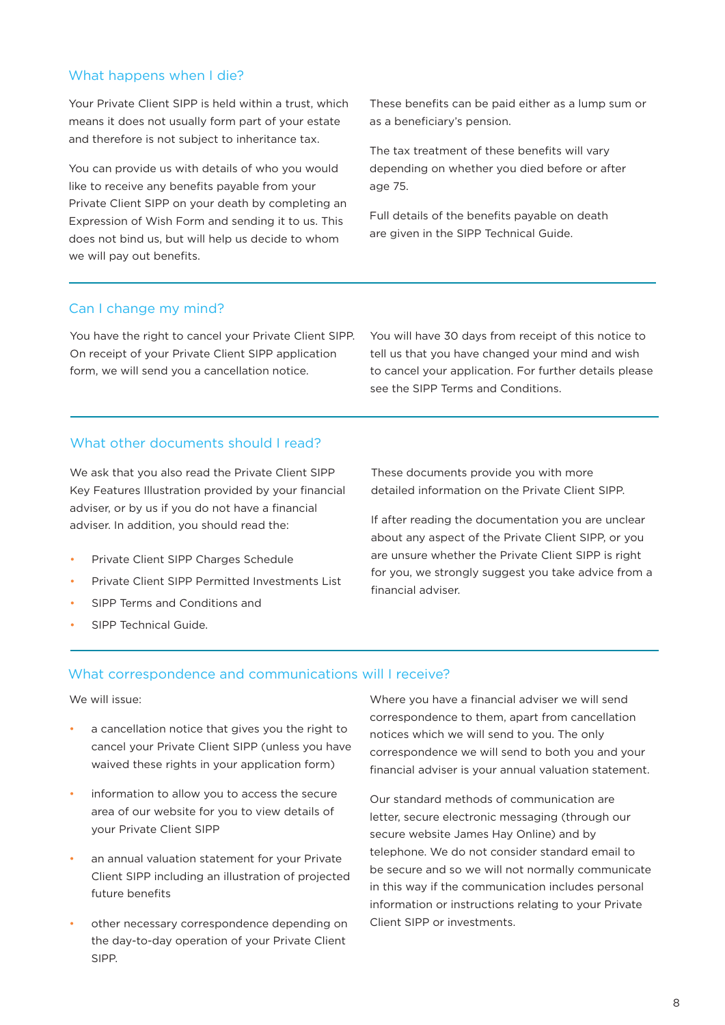#### What happens when I die?

Your Private Client SIPP is held within a trust, which means it does not usually form part of your estate and therefore is not subject to inheritance tax.

You can provide us with details of who you would like to receive any benefits payable from your Private Client SIPP on your death by completing an Expression of Wish Form and sending it to us. This does not bind us, but will help us decide to whom we will pay out benefits.

These benefits can be paid either as a lump sum or as a beneficiary's pension.

The tax treatment of these benefits will vary depending on whether you died before or after age 75.

Full details of the benefits payable on death are given in the SIPP Technical Guide.

#### Can I change my mind?

You have the right to cancel your Private Client SIPP. On receipt of your Private Client SIPP application form, we will send you a cancellation notice.

You will have 30 days from receipt of this notice to tell us that you have changed your mind and wish to cancel your application. For further details please see the SIPP Terms and Conditions.

#### What other documents should I read?

We ask that you also read the Private Client SIPP Key Features Illustration provided by your financial adviser, or by us if you do not have a financial adviser. In addition, you should read the:

- Private Client SIPP Charges Schedule
- Private Client SIPP Permitted Investments List
- SIPP Terms and Conditions and

• SIPP Technical Guide.

These documents provide you with more detailed information on the Private Client SIPP.

If after reading the documentation you are unclear about any aspect of the Private Client SIPP, or you are unsure whether the Private Client SIPP is right for you, we strongly suggest you take advice from a financial adviser.

#### What correspondence and communications will I receive?

#### We will issue:

- a cancellation notice that gives you the right to cancel your Private Client SIPP (unless you have waived these rights in your application form)
- information to allow you to access the secure area of our website for you to view details of your Private Client SIPP
- an annual valuation statement for your Private Client SIPP including an illustration of projected future benefits
- other necessary correspondence depending on the day-to-day operation of your Private Client SIPP.

Where you have a financial adviser we will send correspondence to them, apart from cancellation notices which we will send to you. The only correspondence we will send to both you and your financial adviser is your annual valuation statement.

Our standard methods of communication are letter, secure electronic messaging (through our secure website James Hay Online) and by telephone. We do not consider standard email to be secure and so we will not normally communicate in this way if the communication includes personal information or instructions relating to your Private Client SIPP or investments.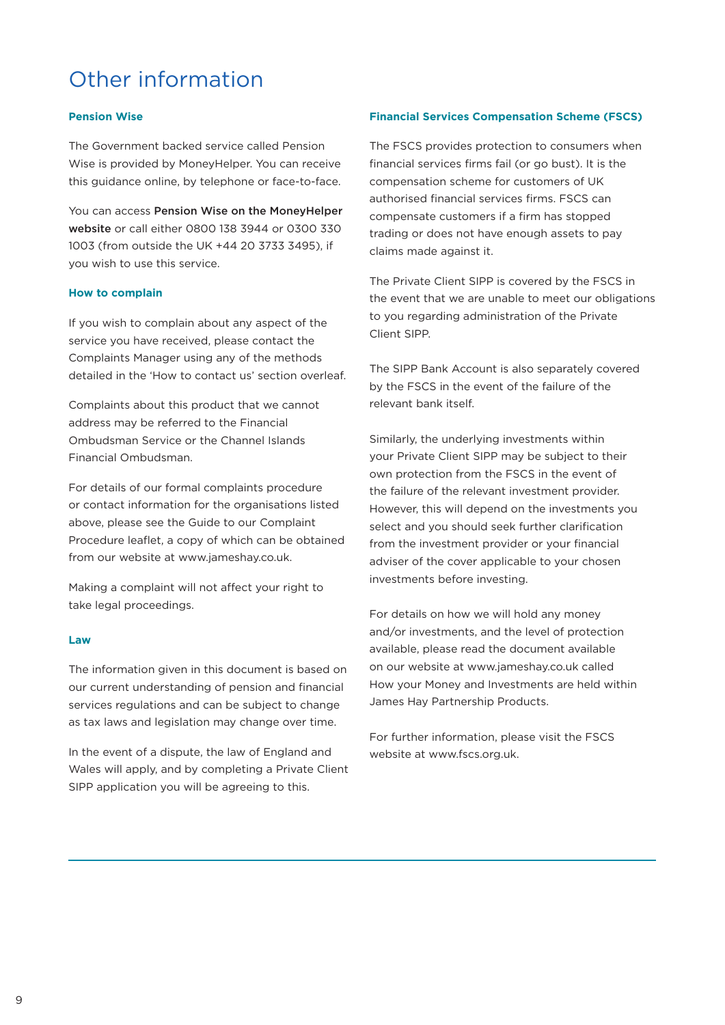# Other information

#### **Pension Wise**

The Government backed service called Pension Wise is provided by MoneyHelper. You can receive this guidance online, by telephone or face-to-face.

You can access [Pension Wise on the MoneyHelper](https://www.moneyhelper.org.uk/en/pensions-and-retirement/pension-wise)  [website](https://www.moneyhelper.org.uk/en/pensions-and-retirement/pension-wise) or call either 0800 138 3944 or 0300 330 1003 (from outside the UK +44 20 3733 3495), if you wish to use this service.

#### **How to complain**

If you wish to complain about any aspect of the service you have received, please contact the Complaints Manager using any of the methods detailed in the 'How to contact us' section overleaf.

Complaints about this product that we cannot address may be referred to the Financial Ombudsman Service or the Channel Islands Financial Ombudsman.

For details of our formal complaints procedure or contact information for the organisations listed above, please see the Guide to our Complaint Procedure leaflet, a copy of which can be obtained from our website at www.jameshay.co.uk.

Making a complaint will not affect your right to take legal proceedings.

#### **Law**

The information given in this document is based on our current understanding of pension and financial services regulations and can be subject to change as tax laws and legislation may change over time.

In the event of a dispute, the law of England and Wales will apply, and by completing a Private Client SIPP application you will be agreeing to this.

#### **Financial Services Compensation Scheme (FSCS)**

The FSCS provides protection to consumers when financial services firms fail (or go bust). It is the compensation scheme for customers of UK authorised financial services firms. FSCS can compensate customers if a firm has stopped trading or does not have enough assets to pay claims made against it.

The Private Client SIPP is covered by the FSCS in the event that we are unable to meet our obligations to you regarding administration of the Private Client SIPP.

The SIPP Bank Account is also separately covered by the FSCS in the event of the failure of the relevant bank itself.

Similarly, the underlying investments within your Private Client SIPP may be subject to their own protection from the FSCS in the event of the failure of the relevant investment provider. However, this will depend on the investments you select and you should seek further clarification from the investment provider or your financial adviser of the cover applicable to your chosen investments before investing.

For details on how we will hold any money and/or investments, and the level of protection available, please read the document available on our website at www.jameshay.co.uk called How your Money and Investments are held within James Hay Partnership Products.

For further information, please visit the FSCS website at www.fscs.org.uk.